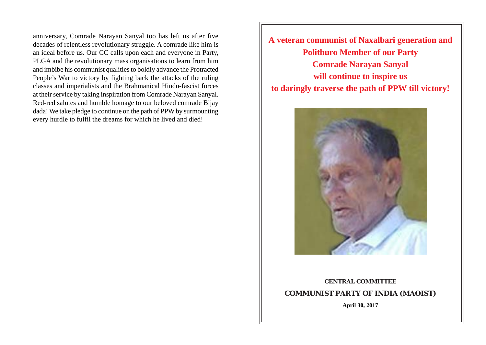anniversary, Comrade Narayan Sanyal too has left us after five decades of relentless revolutionary struggle. A comrade like him is an ideal before us. Our CC calls upon each and everyone in Party, PLGA and the revolutionary mass organisations to learn from him and imbibe his communist qualities to boldly advance the Protracted People's War to victory by fighting back the attacks of the ruling classes and imperialists and the Brahmanical Hindu-fascist forces at their service by taking inspiration from Comrade Narayan Sanyal. Red-red salutes and humble homage to our beloved comrade Bijay dada! We take pledge to continue on the path of PPW by surmounting every hurdle to fulfil the dreams for which he lived and died!

**A veteran communist of Naxalbari generation and Politburo Member of our Party Comrade Narayan Sanyal will continue to inspire us to daringly traverse the path of PPW till victory!**



## **CENTRAL COMMITTEE COMMUNIST PARTY OF INDIA (MAOIST)**

**April 30, 2017**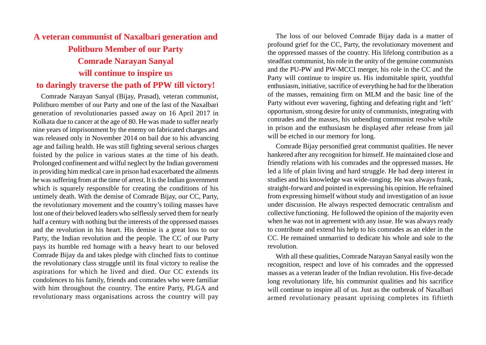## **A veteran communist of Naxalbari generation and Politburo Member of our Party Comrade Narayan Sanyal will continue to inspire us to daringly traverse the path of PPW till victory!**

Comrade Narayan Sanyal (Bijay, Prasad), veteran communist, Politburo member of our Party and one of the last of the Naxalbari generation of revolutionaries passed away on 16 April 2017 in Kolkata due to cancer at the age of 80. He was made to suffer nearly nine years of imprisonment by the enemy on fabricated charges and was released only in November 2014 on bail due to his advancing age and failing health. He was still fighting several serious charges foisted by the police in various states at the time of his death. Prolonged confinement and wilful neglect by the Indian government in providing him medical care in prison had exacerbated the ailments he was suffering from at the time of arrest. It is the Indian government which is squarely responsible for creating the conditions of his untimely death. With the demise of Comrade Bijay, our CC, Party, the revolutionary movement and the country's toiling masses have lost one of their beloved leaders who selflessly served them for nearly half a century with nothing but the interests of the oppressed masses and the revolution in his heart. His demise is a great loss to our Party, the Indian revolution and the people. The CC of our Party pays its humble red homage with a heavy heart to our beloved Comrade Bijay da and takes pledge with clinched fists to continue the revolutionary class struggle until its final victory to realise the aspirations for which he lived and died. Our CC extends its condolences to his family, friends and comrades who were familiar with him throughout the country. The entire Party, PLGA and revolutionary mass organisations across the country will pay

The loss of our beloved Comrade Bijay dada is a matter of profound grief for the CC, Party, the revolutionary movement and the oppressed masses of the country. His lifelong contribution as a steadfast communist, his role in the unity of the genuine communists and the PU-PW and PW-MCCI merger, his role in the CC and the Party will continue to inspire us. His indomitable spirit, youthful enthusiasm, initiative, sacrifice of everything he had for the liberation of the masses, remaining firm on MLM and the basic line of the Party without ever wavering, fighting and defeating right and 'left' opportunism, strong desire for unity of communists, integrating with comrades and the masses, his unbending communist resolve while in prison and the enthusiasm he displayed after release from jail will be etched in our memory for long.

Comrade Bijay personified great communist qualities. He never hankered after any recognition for himself. He maintained close and friendly relations with his comrades and the oppressed masses. He led a life of plain living and hard struggle. He had deep interest in studies and his knowledge was wide-ranging. He was always frank, straight-forward and pointed in expressing his opinion. He refrained from expressing himself without study and investigation of an issue under discussion. He always respected democratic centralism and collective functioning. He followed the opinion of the majority even when he was not in agreement with any issue. He was always ready to contribute and extend his help to his comrades as an elder in the CC. He remained unmarried to dedicate his whole and sole to the revolution.

With all these qualities, Comrade Narayan Sanyal easily won the recognition, respect and love of his comrades and the oppressed masses as a veteran leader of the Indian revolution. His five-decade long revolutionary life, his communist qualities and his sacrifice will continue to inspire all of us. Just as the outbreak of Naxalbari armed revolutionary peasant uprising completes its fiftieth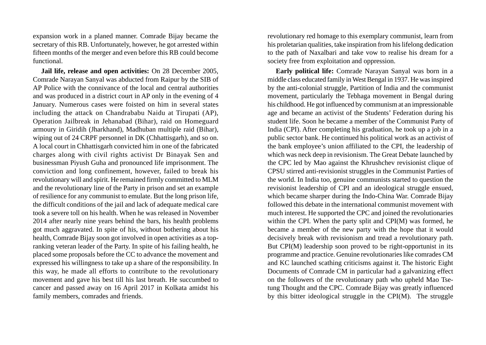expansion work in a planed manner. Comrade Bijay became the secretary of this RB. Unfortunately, however, he got arrested within fifteen months of the merger and even before this RB could become functional.

**Jail life, release and open activities:** On 28 December 2005, Comrade Narayan Sanyal was abducted from Raipur by the SIB of AP Police with the connivance of the local and central authorities and was produced in a district court in AP only in the evening of 4 January. Numerous cases were foisted on him in several states including the attack on Chandrababu Naidu at Tirupati (AP), Operation Jailbreak in Jehanabad (Bihar), raid on Homeguard armoury in Giridih (Jharkhand), Madhuban multiple raid (Bihar), wiping out of 24 CRPF personnel in DK (Chhattisgarh), and so on. A local court in Chhattisgarh convicted him in one of the fabricated charges along with civil rights activist Dr Binayak Sen and businessman Piyush Guha and pronounced life imprisonment. The conviction and long confinement, however, failed to break his revolutionary will and spirit. He remained firmly committed to MLM and the revolutionary line of the Party in prison and set an example of resilience for any communist to emulate. But the long prison life, the difficult conditions of the jail and lack of adequate medical care took a severe toll on his health. When he was released in November 2014 after nearly nine years behind the bars, his health problems got much aggravated. In spite of his, without bothering about his health, Comrade Bijay soon got involved in open activities as a topranking veteran leader of the Party. In spite of his failing health, he placed some proposals before the CC to advance the movement and expressed his willingness to take up a share of the responsibility. In this way, he made all efforts to contribute to the revolutionary movement and gave his best till his last breath. He succumbed to cancer and passed away on 16 April 2017 in Kolkata amidst his family members, comrades and friends.

revolutionary red homage to this exemplary communist, learn from his proletarian qualities, take inspiration from his lifelong dedication to the path of Naxalbari and take vow to realise his dream for a society free from exploitation and oppression.

**Early political life:** Comrade Narayan Sanyal was born in a middle class educated family in West Bengal in 1937. He was inspired by the anti-colonial struggle, Partition of India and the communist movement, particularly the Tebhaga movement in Bengal during his childhood. He got influenced by communism at an impressionable age and became an activist of the Students' Federation during his student life. Soon he became a member of the Communist Party of India (CPI). After completing his graduation, he took up a job in a public sector bank. He continued his political work as an activist of the bank employee's union affiliated to the CPI, the leadership of which was neck deep in revisionism. The Great Debate launched by the CPC led by Mao against the Khrushchev revisionist clique of CPSU stirred anti-revisionist struggles in the Communist Parties of the world. In India too, genuine communists started to question the revisionist leadership of CPI and an ideological struggle ensued, which became sharper during the Indo-China War. Comrade Bijay followed this debate in the international communist movement with much interest. He supported the CPC and joined the revolutionaries within the CPI. When the party split and CPI(M) was formed, he became a member of the new party with the hope that it would decisively break with revisionism and tread a revolutionary path. But CPI(M) leadership soon proved to be right-opportunist in its programme and practice. Genuine revolutionaries like comrades CM and KC launched scathing criticisms against it. The historic Eight Documents of Comrade CM in particular had a galvanizing effect on the followers of the revolutionary path who upheld Mao Tsetung Thought and the CPC. Comrade Bijay was greatly influenced by this bitter ideological struggle in the CPI(M). The struggle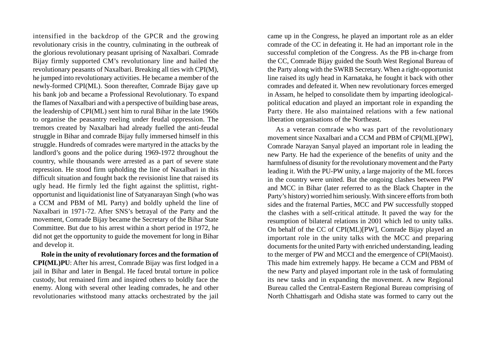intensified in the backdrop of the GPCR and the growing revolutionary crisis in the country, culminating in the outbreak of the glorious revolutionary peasant uprising of Naxalbari. Comrade Bijay firmly supported CM's revolutionary line and hailed the revolutionary peasants of Naxalbari. Breaking all ties with CPI(M), he jumped into revolutionary activities. He became a member of the newly-formed CPI(ML). Soon thereafter, Comrade Bijay gave up his bank job and became a Professional Revolutionary. To expand the flames of Naxalbari and with a perspective of building base areas, the leadership of CPI(ML) sent him to rural Bihar in the late 1960s to organise the peasantry reeling under feudal oppression. The tremors created by Naxalbari had already fuelled the anti-feudal struggle in Bihar and comrade Bijay fully immersed himself in this struggle. Hundreds of comrades were martyred in the attacks by the landlord's goons and the police during 1969-1972 throughout the country, while thousands were arrested as a part of severe state repression. He stood firm upholding the line of Naxalbari in this difficult situation and fought back the revisionist line that raised its ugly head. He firmly led the fight against the splittist, rightopportunist and liquidationist line of Satyanarayan Singh (who was a CCM and PBM of ML Party) and boldly upheld the line of Naxalbari in 1971-72. After SNS's betrayal of the Party and the movement, Comrade Bijay became the Secretary of the Bihar State Committee. But due to his arrest within a short period in 1972, he did not get the opportunity to guide the movement for long in Bihar and develop it.

**Role in the unity of revolutionary forces and the formation of CPI(ML)PU**: After his arrest, Comrade Bijay was first lodged in a jail in Bihar and later in Bengal. He faced brutal torture in police custody, but remained firm and inspired others to boldly face the enemy. Along with several other leading comrades, he and other revolutionaries withstood many attacks orchestrated by the jail

came up in the Congress, he played an important role as an elder comrade of the CC in defeating it. He had an important role in the successful completion of the Congress. As the PB in-charge from the CC, Comrade Bijay guided the South West Regional Bureau of the Party along with the SWRB Secretary. When a right-opportunist line raised its ugly head in Karnataka, he fought it back with other comrades and defeated it. When new revolutionary forces emerged in Assam, he helped to consolidate them by imparting ideologicalpolitical education and played an important role in expanding the Party there. He also maintained relations with a few national liberation organisations of the Northeast.

As a veteran comrade who was part of the revolutionary movement since Naxalbari and a CCM and PBM of CPI(ML)[PW], Comrade Narayan Sanyal played an important role in leading the new Party. He had the experience of the benefits of unity and the harmfulness of disunity for the revolutionary movement and the Party leading it. With the PU-PW unity, a large majority of the ML forces in the country were united. But the ongoing clashes between PW and MCC in Bihar (later referred to as the Black Chapter in the Party's history) worried him seriously. With sincere efforts from both sides and the fraternal Parties, MCC and PW successfully stopped the clashes with a self-critical attitude. It paved the way for the resumption of bilateral relations in 2001 which led to unity talks. On behalf of the CC of CPI(ML)[PW], Comrade Bijay played an important role in the unity talks with the MCC and preparing documents for the united Party with enriched understanding, leading to the merger of PW and MCCI and the emergence of CPI(Maoist). This made him extremely happy. He became a CCM and PBM of the new Party and played important role in the task of formulating its new tasks and in expanding the movement. A new Regional Bureau called the Central-Eastern Regional Bureau comprising of North Chhattisgarh and Odisha state was formed to carry out the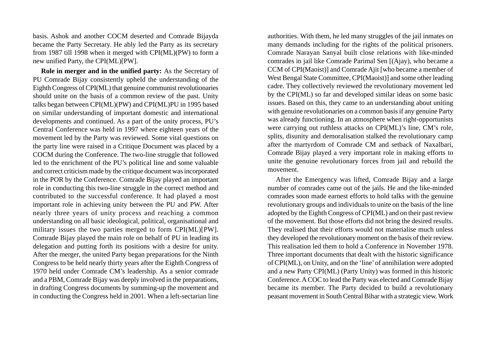basis. Ashok and another COCM deserted and Comrade Bijayda became the Party Secretary. He ably led the Party as its secretary from 1987 till 1998 when it merged with CPI(ML)(PW) to form a new unified Party, the CPI(ML)[PW].

**Role in merger and in the unified party:** As the Secretary of PU Comrade Bijay consistently upheld the understanding of the Eighth Congress of CPI(ML) that genuine communist revolutionaries should unite on the basis of a common review of the past. Unity talks began between CPI(ML)(PW) and CPI(ML)PU in 1995 based on similar understanding of important domestic and international developments and continued. As a part of the unity process, PU's Central Conference was held in 1997 where eighteen years of the movement led by the Party was reviewed. Some vital questions on the party line were raised in a Critique Document was placed by a COCM during the Conference. The two-line struggle that followed led to the enrichment of the PU's political line and some valuable and correct criticism made by the critique document was incorporated in the POR by the Conference. Comrade Bijay played an important role in conducting this two-line struggle in the correct method and contributed to the successful conference. It had played a most important role in achieving unity between the PU and PW. After nearly three years of unity process and reaching a common understanding on all basic ideological, political, organisational and military issues the two parties merged to form CPI(ML)[PW]. Comrade Bijay played the main role on behalf of PU in leading its delegation and putting forth its positions with a desire for unity. After the merger, the united Party began preparations for the Ninth Congress to be held nearly thirty years after the Eighth Congress of 1970 held under Comrade CM's leadership. As a senior comrade and a PBM, Comrade Bijay was deeply involved in the preparations, in drafting Congress documents by summing-up the movement and in conducting the Congress held in 2001. When a left-sectarian line

authorities. With them, he led many struggles of the jail inmates on many demands including for the rights of the political prisoners. Comrade Narayan Sanyal built close relations with like-minded comrades in jail like Comrade Parimal Sen [(Ajay), who became a CCM of CPI(Maoist)] and Comrade Ajit [who became a member of West Bengal State Committee, CPI(Maoist)] and some other leading cadre. They collectively reviewed the revolutionary movement led by the CPI(ML) so far and developed similar ideas on some basic issues. Based on this, they came to an understanding about uniting with genuine revolutionaries on a common basis if any genuine Party was already functioning. In an atmosphere when right-opportunists were carrying out ruthless attacks on CPI(ML)'s line, CM's role, splits, disunity and demoralisation stalked the revolutionary camp after the martyrdom of Comrade CM and setback of Naxalbari, Comrade Bijay played a very important role in making efforts to unite the genuine revolutionary forces from jail and rebuild the movement.

After the Emergency was lifted, Comrade Bijay and a large number of comrades came out of the jails. He and the like-minded comrades soon made earnest efforts to hold talks with the genuine revolutionary groups and individuals to unite on the basis of the line adopted by the Eighth Congress of CPI(ML) and on their past review of the movement. But those efforts did not bring the desired results. They realised that their efforts would not materialise much unless they developed the revolutionary moment on the basis of their review. This realisation led them to hold a Conference in November 1978. Three important documents that dealt with the historic significance of CPI(ML), on Unity, and on the 'line' of annihilation were adopted and a new Party CPI(ML) (Party Unity) was formed in this historic Conference. A COC to lead the Party was elected and Comrade Bijay became its member. The Party decided to build a revolutionary peasant movement in South Central Bihar with a strategic view. Work